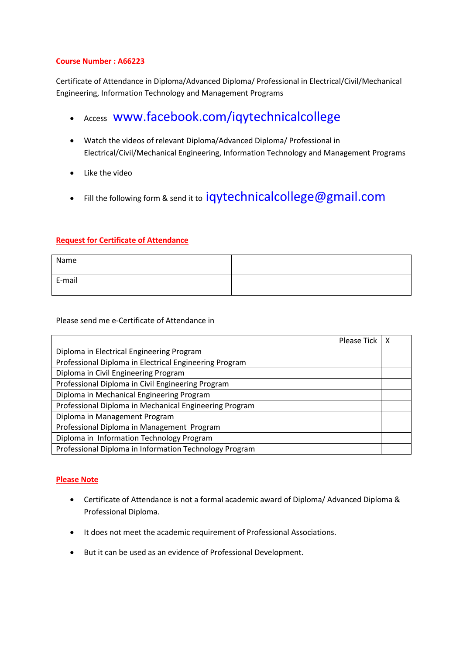## **Course Number : A66223**

Certificate of Attendance in Diploma/Advanced Diploma/ Professional in Electrical/Civil/Mechanical Engineering, Information Technology and Management Programs

- Access [www.facebook.com/iqytechnicalcollege](http://www.facebook.com/iqytechnicalcollege)
- Watch the videos of relevant Diploma/Advanced Diploma/ Professional in Electrical/Civil/Mechanical Engineering, Information Technology and Management Programs
- Like the video
- Fill the following form & send it to [iqytechnicalcollege@gmail.com](mailto:iqytechnicalcollege@gmail.com)

## **Request for Certificate of Attendance**

| Name   |  |
|--------|--|
| E-mail |  |

Please send me e-Certificate of Attendance in

| Please Tick                                            |  |
|--------------------------------------------------------|--|
| Diploma in Electrical Engineering Program              |  |
| Professional Diploma in Electrical Engineering Program |  |
| Diploma in Civil Engineering Program                   |  |
| Professional Diploma in Civil Engineering Program      |  |
| Diploma in Mechanical Engineering Program              |  |
| Professional Diploma in Mechanical Engineering Program |  |
| Diploma in Management Program                          |  |
| Professional Diploma in Management Program             |  |
| Diploma in Information Technology Program              |  |
| Professional Diploma in Information Technology Program |  |

## **Please Note**

- Certificate of Attendance is not a formal academic award of Diploma/ Advanced Diploma & Professional Diploma.
- It does not meet the academic requirement of Professional Associations.
- But it can be used as an evidence of Professional Development.